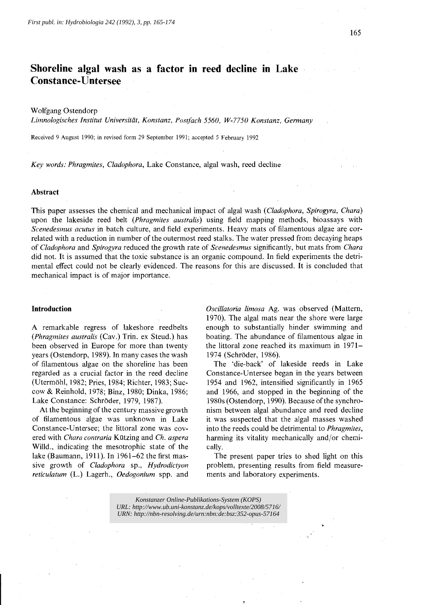# **Shoreline algal wash as a factor in reed decline in Lake Constance-Untersee**

## Wolfgang Ostendorp

*Limnologisches Institut Universität, Konstanz, Postfach 5560, W-7750 Konstanz, Germany*

Received 9 August 1990; in revised form 29 September 1991; accepted 5 February 1992

*Key words: Phragmites, Cladophora,* Lake Constance, algal wash, reed decline

#### Abstract

This paper assesses the chemical and mechanical impact of algal wash *(Cladophora, Spirogyra, Chara)* upon the lakeside reed belt *(Phragmites australis)* using field mapping methods, bioassays with *Scenedesmus acutus* in batch culture, and field experiments. Heavy mats of filamentous algae are correlated with a reduction in number of the outermost reed stalks. The water pressed from decaying heaps of *Cladophora* and *Spirogyra* reduced the growth rate of *Scenedesmus* significantly, but mats from *Chara* did not. It is assumed that the toxic substance is an organic compound. In field experiments the detrimental effect could not be clearly evidenced. The reasons for this are discussed. It is concluded that mechanical impact is of major importance.

## **Introduction**

A remarkable regress of lakeshore reedbelts *(Phragmites australis* (Cav.) Trin. ex Steud.) has been observed in Europe for more than twenty years (Ostendorp, 1989). In many cases the wash of filamentous algae on the shoreline has been regarded as a crucial factor in the reed decline (Utermöhl, 1982; Pries, 1984; Richter, 1983; Succow & Reinhold, 1978; Binz, 1980; Dinka, 1986; Lake Constance: Schröder, 1979, 1987).

At the beginning of the century massive growth of filamentous algae was unknown in Lake Constance-Untersee; the littoral zone was covered with *Chara contraria* Kützing and *Ch. aspera* Willd., indicating the mesotrophic state of the lake (Baumann, 1911). In 1961-62 the first massive growth of *Cladophora* sp., *Hydrodictyon reticulatum* (L.) Lagerh., *Oedogonium* spp. and

*Oscillatoria limosa* Ag. was observed (Mattem, 1970). The algal mats near the shore were large enough to substantially hinder swimming and boating. The abundance of filamentous algae in the littoral zone reached its maximum in 1971- 1974 (Schröder, 1986).

The 'die-back' of lakeside reeds in Lake Constance-Untersee began in the years between 1954 and 1962, intensified significantly in 1965 and 1966, and stopped in the beginning of the 1980s (Ostendorp, 1990). Because of the synchronism between algal abundance and reed decline it was suspected that the algal masses washed into the reeds could be detrimental to *Phragmites,* harming its vitality mechanically and/or chemically.

The present paper tries to shed light on this problem, presenting results from field measurements and laboratory experiments.

*Konstanzer Online-Publikations-System (KOPS) URL:<http://www.ub.uni-konstanz.de/kops/volltexte/2008/5716/> URN: htt[p://nbn-resolving.de/urn:nbn:de:bsz:352-opus-57164](http://nbn-resolving.de/urn:nbn:de:bsz:352-opus-57164)*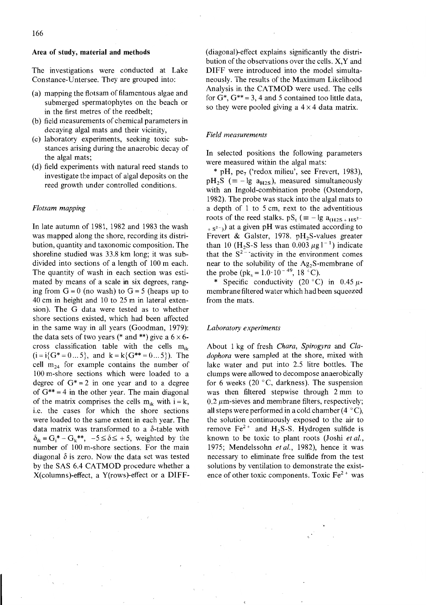## Area of study, material and methods

The investigations were conducted at Lake Constance-Untersee. They are grouped into:

- (a) mapping the flotsam of filamentous algae and submerged spermatophytes on the beach or in the first metres of the reedbelt;
- (b) field measurements of chemical parameters in decaying algal mats and their vicinity,
- (c) 1aboratory experiments, seeking toxic substances arising during the anaerobic decay of the algal mats;
- (d) field experiments with natural reed stands to investigate the impact of algal deposits on the reed growth under controlled conditions.

#### *Flotsam mapping*

In late autumn of 1981, 1982 and 1983 the wash was mapped along the shore, recording its distribution, quantity and taxonomic composition. The shoreline studied was 33.8 km long; it was subdivided into sections of a length of 100 m each. The quantity of wash in each section was estimated by means of a scale in six degrees, ranging from  $G = 0$  (no wash) to  $G = 5$  (heaps up to 40 cm in height and 10 to 25 m in lateral extension). The G data were tested as to whether shore sections existed, which had been affected in the same way in all years (Goodman, 1979): the data sets of two years (\* and \*\*) give a  $6 \times 6$ cross classification table with the cells  $m_{ik}$  $(i=i{G*-0...5},$  and  $k=k{G**=0...5}$ . The cell  $m_{24}$  for example contains the number of 100 m-shore sections which were loaded to a degree of  $G^* = 2$  in one year and to a degree of  $G^{**} = 4$  in the other year. The main diagonal of the matrix comprises the cells  $m_{ik}$  with  $i = k$ , i.e. the cases for which the shore sections were loaded to the same extent in each year. The data matrix was transformed to a  $\delta$ -table with  $\delta_{ik} = G_i^* - G_k^{**}, -5 \leq \delta \leq +5$ , weighted by the number of 100 m-shore sections. For the main diagonal  $\delta$  is zero. Now the data set was tested by the SAS 6.4 CATMOD procedure whether a X(columns)-effect, a Y(rows)-effect or a DIFF- (diagonal)-effect explains significantly the distribution of the observations over the cells. X, Y and DIFF were introduced into the model simultaneously. The results of the Maximum Likelihood Analysis in the CATMOD were used. The cells for  $G^*$ ,  $G^{**}$  = 3, 4 and 5 contained too little data, so they were pooled giving a  $4 \times 4$  data matrix.

## *Field measurements*

In selected positions the following parameters were measured within the algal mats:

 $*$  pH, pe<sub>7</sub> ('redox milieu', see Frevert, 1983),  $pH_2S$  (= - lg  $a_{H2S}$ ), measured simultaneously with an Ingold-combination probe (Ostendorp, 1982). The probe was stuck into the algal mats to a depth of 1 to 5 cm, next to the adventitious roots of the reed stalks.  $pS_t \equiv -\lg a_{(H2S + HS^2)}$  $+ s<sup>2</sup>$ ) at a given pH was estimated according to Frevert & Galster, 1978. pH<sub>2</sub>S-values greater than 10 (H<sub>2</sub>S-S less than 0.003  $\mu$ g l<sup>-1</sup>) indicate that the  $S^2$  - activity in the environment comes near to the solubility of the Ag<sub>2</sub>S-membrane of the probe (pk<sub>s</sub> =  $1.0 \cdot 10^{-49}$ , 18 °C).

\* Specific conductivity (20 °C) in 0.45  $\mu$ membrane filtered water whieh had been squeezed from the mats.

#### *Laboratoryexperiments*

About 1 kg of fresh *Chara, Spirogyra* and *Cladophora* were sampled at the shore, mixed with lake water and put into 2.5 litre bottles. The clumps were allowed to decompose anaerobically for 6 weeks (20 $\degree$ C, darkness). The suspension was then filtered stepwise through 2 mm to  $0.2 \mu$ m-sieves and membrane filters, respectively; all steps were performed in a cold chamber (4  $\degree$ C), the solution eontinuously exposed to the air to remove  $Fe^{2+}$  and H<sub>2</sub>S-S. Hydrogen sulfide is known to be toxie to plant roots (Joshi *et al.,* 1975; Mendelssohn *et al.,* 1982), henee it was neeessary to eliminate free sulfide from the test solutions by ventilation to demonstrate the existence of other toxic components. Toxic  $Fe<sup>2+</sup>$  was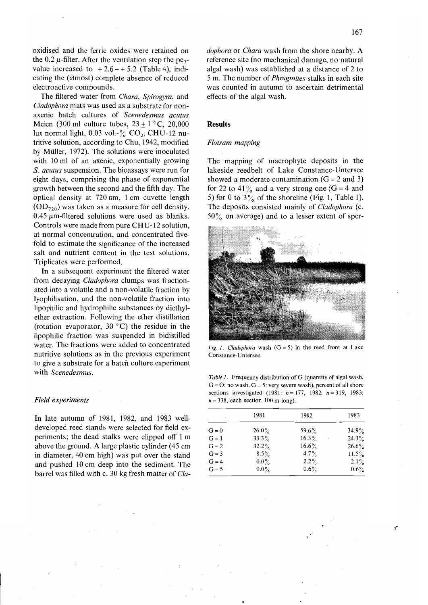oxidised and the ferric oxides were retained on the 0.2  $\mu$ -filter. After the ventilation step the pe<sub>7</sub>value increased to  $+2.6 - +5.2$  (Table 4), indicating the (almost) complete absence of reduced electroactive eompounds.

The filtered water from *Chara, Spirogyra,* and *Cladophora* mats was used as a substrate for nonaxenie bateh eultures of *Scenedesmus acutus* Meien (300 ml culture tubes,  $23 + 1$  °C, 20,000 lux normal light,  $0.03$  vol.- $\%$  CO<sub>2</sub>, CHU-12 nutritive solution, aeeording to Chu, 1942, modified by Müller, 1972). The solutions were inoeulated with 10 ml of an axenie, exponentially growing S. *acutus* suspension. The bioassays were run for eight days, eomprising the phase of exponential growth between the seeond and the fifth day. The optieal density at 720 nm, 1 em euvette length  $(OD_{720})$  was taken as a measure for cell density.  $0.45 \mu$ m-filtered solutions were used as blanks. Controls were made from pure CHU-12 solution, at normal eoneentration, and eoneentrated fivefold to estimate the significance of the increased salt and nutrient eontent in the test solutions. Triplieates were performed.

**In** a subsequent experiment the filtered water from deeaying *Cladophora* clumps was fraetionated into a volatile and a non-volatile fraction by lyophilisation, and the non-volatile fraction into lipophilie and hydrophilie substanees by diethylether extraetion. Following the ether distillation (rotation evaporator,  $30^{\circ}$ C) the residue in the lipophilie fraetion was suspended in bidistilled water. The fractions were added to concentrated nutritive solutions as in the previous experiment to give a substrate for a bateh eulture experiment with *Scenedesmus.*

### *Held experiments*

**In** late autumn of 1981, 1982, and 1983 welldeveloped reed stands were seleeted for field experiments; the dead stalks were clipped off 1 m above the ground. A large plastie eylinder (45 em in diameter, 40 em high) was put over the stand and pushed 10 em deep into the sediment. The barrel was filled with e. 30 kg fresh matter of *Cla-* *dophora* or *Chara* wash from the shore nearby. A reference site (no mechanical damage, no natural algal wash) was established at a distance of 2 to 5 m. The number of *Phragmites* stalks in each site was counted in autumn to ascertain detrimental effeets of the algal wash.

## **Results**

#### *Flotsam mapping*

The mapping of macrophyte deposits in the lakeside reedbelt of Lake Constanee-Untersee showed a moderate contamination  $(G = 2 \text{ and } 3)$ for 22 to 41% and a very strong one (G = 4 and for 22 to 41% and a very strong one  $(G = 4$  and<br>5) for 0 to 3% of the shoreline (Fig. 1, Table 1). The deposits consisted mainly of *Cladophora* (c.  $50\%$  on average) and to a lesser extent of sper-



*Fig. 1. Cladophora* wash  $(G = 5)$  in the reed front at Lake Constance-Untersee.

*Table 1.* Frequency distribution of G (quantity of algal wash,  $G = O$ : no wash,  $G = 5$ : very severe wash), percent of all shore seetions investigated (1981: *n=* 177, 1982: *n=319, 1983:*  $n = 338$ , each section 100 m long).

|         | 1981     | 1982     | 1983     |
|---------|----------|----------|----------|
| $G = 0$ | $26.0\%$ | $59.6\%$ | $34.9\%$ |
| $G = 1$ | $33.3\%$ | $16.3\%$ | $24.3\%$ |
| $G = 2$ | $32.2\%$ | $16.6\%$ | $26.6\%$ |
| $G = 3$ | $8.5\%$  | $4.7\%$  | $11.5\%$ |
| $G = 4$ | $0.0\%$  | $2.2\%$  | $2.1\%$  |
| $G = 5$ | $0.0\%$  | $0.6\%$  | $0.6\%$  |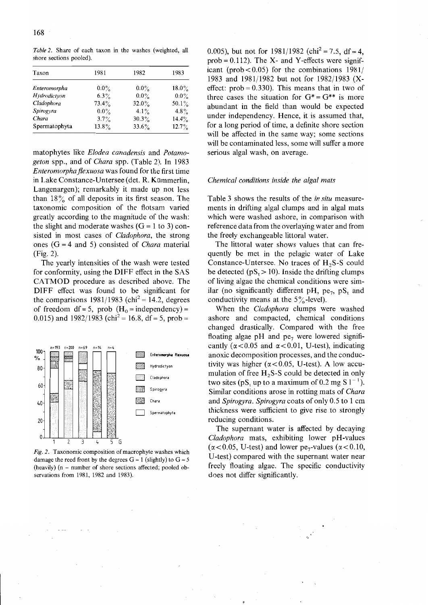| Taxon         | 1981     | 1982     | 1983     |
|---------------|----------|----------|----------|
| Enteromorpha  | $0.0\%$  | $0.0\%$  | $18.0\%$ |
| Hydrodictyon  | $6.3\%$  | $0.0\%$  | $0.0\%$  |
| Cladophora    | $73.4\%$ | $32.0\%$ | 50.1%    |
| Spirogyra     | $0.0\%$  | $4.1\%$  | 4.8%     |
| Chara         | 3.7%     | $30.3\%$ | 14.4%    |
| Spermatophyta | $13.8\%$ | 33.6%    | 12.7%    |

*Table* 2. Share of each taxon in the washes (weighted, all shore sections pooled).

matophytes like *Elodea canadensis* and *Potamogeton* spp., and of *Chara* spp. (Table 2). In 1983 *Enteromorphaflexuosa* was found for the first time in Lake Constanee-Untersee (del. R. Kümmerlin, Langenargen); remarkably it made up not less than  $18\%$  of all deposits in its first season. The taxonomie eomposition of the flotsam varied greatly aeeording to the magnitude of the wash: the slight and moderate washes  $(G = 1$  to 3) consisted in most eases of *Cladophora,* the strong ones (G = 4 and 5) eonsisted of *Chara* material (Fig.2).

The yearly intensities of the wash were tested for eonformity, using the DIFF effeet in the SAS CATMOD proeedure as deseribed above. The DIFF effeet was found to be signifieant for the comparisons  $1981/1983$  (chi<sup>2</sup> = 14.2, degrees of freedom df = 5, prob  $(H_0 = \text{independency}) =$ 0.015) and  $1982/1983$  (chi<sup>2</sup> = 16.8, df = 5, prob =



Fig. 2. Taxonomic composition of macrophyte washes which damage the reed front by the degrees  $G = 1$  (slightly) to  $G = 5$ (heavily) (n - number of shore sections affected; pooled observations from 1981, 1982 and 1983).

0.005), but not for  $1981/1982$  (chi<sup>2</sup> = 7.5, df = 4,  $prob = 0.112$ . The X- and Y-effects were significant (prob $< 0.05$ ) for the combinations 1981/ 1983 and 1981/1982 but not for 1982/1983 (Xeffect:  $prob = 0.330$ . This means that in two of three cases the situation for  $G^* = G^{**}$  is more abundant in the field than would be expected under independency. Hence, it is assumed that, for a long period of time, a definite shore section will be affected in the same way; some sections will be contaminated less, some will suffer a more serious algal wash, on average.

#### *Chemical conditions inside the algal mats*

Table 3 shows the resuIts of the *in situ* measurements in drifting algal clumps and in algal mats whieh were washed ashore, in eomparison with referenee data from the overlaying water and from the freely exehangeable littoral water.

The littoral water shows values that ean frequently be met in the pelagie water of Lake Constance-Untersee. No traces of  $H_2S-S$  could be detected ( $pS_t > 10$ ). Inside the drifting clumps of living algae the ehemieal eonditions were similar (no significantly different pH, pe<sub>7</sub>, pS<sub>t</sub> and conductivity means at the  $5\%$ -level).

When the *Cladophora* clumps were washed ashore and eompaeted, ehemieal eonditions ehanged drastieally. Compared with the free floating algae pH and pe<sub>7</sub> were lowered significantly  $(\alpha < 0.05$  and  $\alpha < 0.01$ , U-test), indicating anoxie deeomposition proeesses, and the eonduetivity was higher  $(\alpha < 0.05, U-test)$ . A low accumulation of free  $H_2S-S$  could be detected in only two sites (pS, up to a maximum of 0.2 mg S  $1^{-1}$ ). Similar eonditions arose in rotting mats of *Chara* and *Spirogyra. Spirogyra* eoats of only 0.5 to 1 em thickness were sufficient to give rise to strongly redueing eonditions.

The supernant water is affected by decaying *Cladophora* mats, exhibiting 10wer pH-values  $(\alpha < 0.05, U-test)$  and lower pe<sub>7</sub>-values ( $\alpha < 0.10$ , U-test) eompared with the supernant water near freely floating algae. The specific conductivity does not differ signifieantly.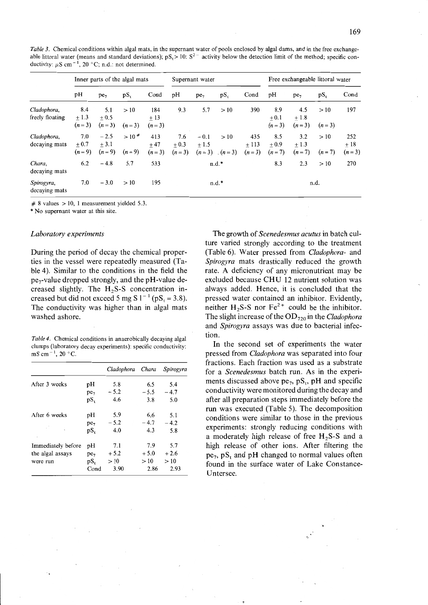*Table* 3. Chemical conditions within algal mats, in the supernant water of pools enclosed by algal dams, and in the free exchangeable littoral water (means and standard deviations);  $pS_1 > 10$ :  $S^2$  activity below the detection limit of the method; specific conductivity:  $\mu S$  cm<sup>-1</sup>, 20 °C; n.d.: not determined.

|                                | Inner parts of the algal mats |                               |                               | Supernant water         |                          |                             | Free exchangeable littoral water |                          |                          |                          |                |                         |
|--------------------------------|-------------------------------|-------------------------------|-------------------------------|-------------------------|--------------------------|-----------------------------|----------------------------------|--------------------------|--------------------------|--------------------------|----------------|-------------------------|
|                                | pH                            | $pe_7$                        | $pS_t$                        | Cond                    | pH                       | pe <sub>7</sub>             | $pS_t$                           | Cond                     | pH                       | $pe_7$                   | $pS_t$         | Cond                    |
| Cladophora,<br>freely floating | 8.4<br>$+1.3$<br>$(n=3)$      | 5.1<br>$+0.5$<br>$(n=3)$      | >10<br>$(n=3)$                | 184<br>$+13$<br>$(n=3)$ | 9.3                      | 5.7                         | >10                              | 390                      | 8.9<br>$+0.1$<br>$(n=3)$ | 4.5<br>$+1.8$<br>$(n=3)$ | >10<br>$(n=3)$ | 197                     |
| Cladophora,<br>decaying mats   | 7.0<br>$+0.7$<br>$(n=9)$      | $-2.5$<br>$+3.1$<br>$(n = 9)$ | >10 <sup>#</sup><br>$(n = 9)$ | 413<br>$+47$<br>$(n=3)$ | 7.6<br>$+0.3$<br>$(n=3)$ | $-0.1$<br>$+1.5$<br>$(n=3)$ | >10<br>$(n=3)$                   | 435<br>$+113$<br>$(n=3)$ | 8.5<br>$+0.9$<br>$(n=7)$ | 3.2<br>$+1.3$<br>$(n=7)$ | >10<br>$(n=7)$ | 252<br>$+18$<br>$(n=3)$ |
| Chara,<br>decaying mats        | 6.2                           | $-4.8$                        | 5.7                           | 533                     |                          |                             | $n.d.*$                          |                          | 8.3                      | 2.3                      | >10            | 270                     |
| Spirogyra,<br>decaying mats    | 7.0                           | $-3.0$                        | >10                           | 195                     |                          |                             | $n.d.*$                          |                          |                          |                          | n.d.           |                         |

 $# 8$  values  $> 10$ , 1 measurement yielded 5.3.

\* No supernant water at this site.

#### *Laboratory experiments*

During the period of decay the chemical properties in the vessel were repeatedly measured (Table 4). Similar to the conditions in the field the  $pe_7$ -value dropped strongly, and the pH-value decreased slightly. The H<sub>2</sub>S-S concentration increased but did not exceed 5 mg S  $1^{-1}$  (pS<sub>1</sub> = 3.8). The conductivity was higher than in algal mats washed ashore.

*Table* 4. Chemical conditions in anaerobically decaying algal clumps (laboratory deeay experiments): speeifie eonduetivity: mS cm<sup>-1</sup>, 20 $\degree$ C

|                    |                 | Cladophora Chara |        | Spirogyra |
|--------------------|-----------------|------------------|--------|-----------|
| After 3 weeks      | pН              | 5.8              | 6.5    | 5.4       |
|                    | pe <sub>7</sub> | $-5.2$           | $-5.5$ | $-4.7$    |
|                    | $pS_t$          | 4.6              | 3.8    | 5.0       |
| After 6 weeks      | pН              | 5.9              | 6.6    | 5.1       |
|                    | $pe_7$          | $-5.2$           | $-4.7$ | $-4.2$    |
| ۰                  | $pS_t$          | 4.0              | 4.3    | 5.8       |
| Immediately before | pH              | 7.1              | 7.9    | 5.7       |
| the algal assays   | pe <sub>7</sub> | $+5.2$           | $+5.0$ | $+2.6$    |
| were run           | $pS_t$          | >10              | >10    | >10       |
|                    | Cond            | 3.90             | 2.86   | 2.93      |

The growth of *Scenedesmus acutus* in batch culture varied strongly according to the treatment (Table 6). Water pressed from *Cladophora-* and *Spirogyra* mats drastically reduced the growth rate. A deficiency of any micronutrient may be excluded because CHU 12 nutrient solution was always added. Hence, it is concluded that the pressed water contained an inhibitor. Evidently, neither H<sub>2</sub>S-S nor Fe<sup>2+</sup> could be the inhibitor. The slight increase of the OD<sub>720</sub> in the *Cladophora* and *Spirogyra* assays was due to bacterial infection.

**In** the second set of experiments the water pressed from *Cladophora* was separated into four fractions. Each fraction was used as a substrate for a *Scenedesmus* batch run. As in the experiments discussed above  $pe_7$ ,  $pS_1$ ,  $pH$  and specific conductivity were monitored during the decay and after all preparation steps immediately before the run was executed (Table 5). The decomposition conditions were similar to those in the previous experiments: strongly reducing conditions with a moderately high release of free  $H_2S-S$  and a high release of other ions. After filtering the  $pe_7$ ,  $pS_t$  and  $pH$  changed to normal values often found in the surface water of Lake Constance-Untersee.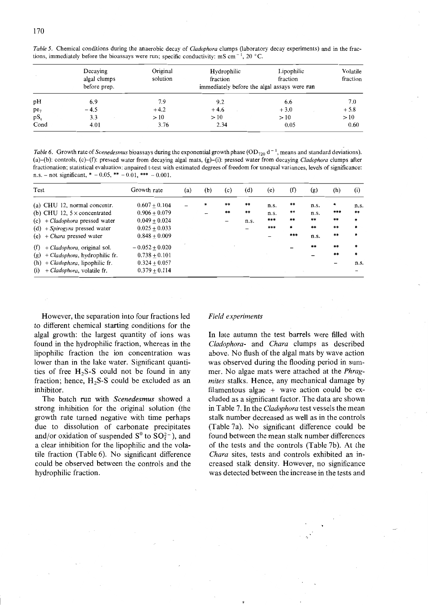|        | Decaying<br>algal clumps | Original<br>solution | Hydrophilic<br>fraction | Lipophilic<br>fraction                       | Volatile<br>fraction |  |
|--------|--------------------------|----------------------|-------------------------|----------------------------------------------|----------------------|--|
|        | before prep.             |                      |                         | immediately before the algal assays were run |                      |  |
| pH     | 6.9                      | 7.9                  | 9.2                     | 6.6                                          | 7.0                  |  |
| $pe_7$ | $-4.5$                   | $+4.2$               | $+4.6$                  | $+3.0$                                       | $+5.8$               |  |
| $pS_t$ | 3.3                      | >10                  | >10                     | >10                                          | >10                  |  |
| Cond   | 4.01                     | 3.76                 | 2.34                    | 0.05                                         | 0.60                 |  |

*Table* 5. Chemical conditions during the anaerobic decay of *Cladophora* clumps (laboratory decay experiments) and in the fractions, immediately before the bioassays were run; specific conductivity: mS cm<sup>-1</sup>, 20 °C.

*Table* 6. Growth rate of *Scenedesmus* bioassays during the exponential growth phase  $OD_{720} d^{-1}$ , means and standard deviations). (a)-(b): controls, (c)-(f): pressed water from decaying algal mats, (g)-(i): pressed water from decaying *Cladophora* clumps after fractionation; statistical evaluation: unpaired t-test with estimated degrees of freedom for unequal variances, levels of significance: n.s. – not significant, \* – 0.05, \*\* – 0.01, \*\*\* – 0.001.

| Test                                                                                                                                                                   | Growth rate                                                                                 | (a) | (b) | (c)      | (d)                           | (e)                        | (f)                          | (g)                                    | (h)                            | (i)                                |
|------------------------------------------------------------------------------------------------------------------------------------------------------------------------|---------------------------------------------------------------------------------------------|-----|-----|----------|-------------------------------|----------------------------|------------------------------|----------------------------------------|--------------------------------|------------------------------------|
| (a) CHU 12, normal concentr.<br>(b) CHU 12, $5 \times$ concentrated<br>(c) $+ Cladophora$ pressed water<br>(d) + Spirogyra pressed water<br>(e) $+ Char$ pressed water | $0.607 + 0.104$<br>$0.906 + 0.079$<br>$0.049 + 0.024$<br>$0.025 + 0.033$<br>$0.848 + 0.009$ |     | *   | **<br>** | $***$<br>$\star\star$<br>n.s. | n.s.<br>n.s.<br>***<br>*** | $**$<br>**<br>**<br>*<br>*** | n.s.<br>n.s.<br>$***$<br>$***$<br>n.s. | *<br>***<br>$***$<br>**<br>**  | n.s.<br>$***$<br>$\star$<br>$\ast$ |
| + Cladophora, original sol.<br>(f)<br>+ Cladophora, hydrophilic fr.<br>(g)<br>$(h) + Cladophora$ , lipophilic fr.<br>+ Cladophora, volatile fr.<br>(i)                 | $-0.052 + 0.020$<br>$0.738 + 0.101$<br>$0.324 + 0.057$<br>$0.379 + 0.114$                   |     |     |          |                               |                            |                              | $***$                                  | **<br>$***$<br>$\qquad \qquad$ | $\star$<br>$\ast$<br>n.s.          |

However, the separation into four fractions led to different chemical starting conditions for the algal growth: the largest quantity of ions was found in the hydrophilie fraction, whereas in the lipophilic fraction the ion concentration was lower than in the lake water. Significant quantities of free  $H_2S-S$  could not be found in any fraction; hence,  $H_2S-S$  could be excluded as an inhibitor.

The batch run with *Scenedesmus* showed a strong inhibition for the original solution (the growth rate turned negative with time perhaps due to dissolution of carbonate precipitates and/or oxidation of suspended  $S^0$  to  $SO<sub>4</sub><sup>2</sup>$ , and a clear inhibition for the lipophilic and the volatile fraction (Table 6). No significant difference could be observed between the controls and the hydrophilie fraction.

# *Field experiments*

**In** late autumn the test barrels were filled with *Cladophora-* and *Chara* clumps as described above. No flush of the algal mats by wave action was observed during the flooding period in summer. No algae mats were attached at the *Phragmites* stalks. Hence, any mechanical damage by filamentous algae + wave action could be excluded as a significant factor. The data are shown in Table 7. **In** the *Cladophora* test vessels the mean stalk number decreased as weil as in the controls (Table 7a). No significant difference could be found between the mean stalk number differences of the tests and the controls (Table 7b). At the *Chara* sites, tests and controls exhibited an increased stalk density. However, no significance was detected between the increase in the tests and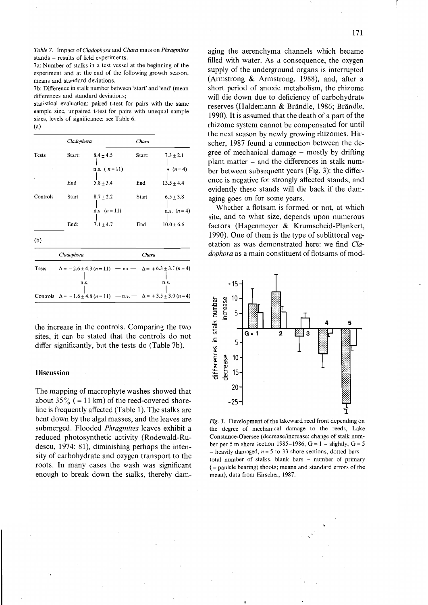*Table* 7. Impact of*Cladophora* and *Chara* mats on *Phragmites* stands - results of field experiments.

7a: Number of stalks in a test vessel at the beginning of the experiment and at the end of the foliowing growth season, means and standard deviations.

7b: Difference in stalk number between 'start' and 'end' (mean differences and standard deviations;

statistical evaluation: paired t-test for pairs with the same sampie size, unpaired t-test for pairs with unequal sampie sizes, levels of significance: see Table 6.

(a)

|                   | Cladophora |                                | Chara  |                                 |  |  |  |
|-------------------|------------|--------------------------------|--------|---------------------------------|--|--|--|
| <b>Tests</b><br>× | Start:     | $8.4 + 4.5$<br>n.s. $(n = 11)$ | Start: | $7.3 + 2.1$<br>* $(n=4)$        |  |  |  |
|                   | End        | $5.8 \pm 3.4$                  | End    | $13.5 \pm 4.4$                  |  |  |  |
| Controls          | Start      | $8.7 + 2.2$<br>n.s. $(n = 11)$ | Start  | $6.5 \pm 3.8$<br>n.s. $(n = 4)$ |  |  |  |
|                   | End:       | $7.1 + 4.7$                    | End    | $10.0 + 6.6$                    |  |  |  |

(b)

|       | Cladophora                                                                        | Chara |
|-------|-----------------------------------------------------------------------------------|-------|
| Tests | $\Delta = -2.6 \pm 4.3 (n = 11)$ $- * * - \Delta = +6.3 \pm 3.7 (n = 4)$          |       |
|       |                                                                                   |       |
|       | n.s.                                                                              | n.s.  |
|       |                                                                                   |       |
|       | Controls $\Delta = -1.6 \pm 4.8 (n = 11)$ $-n.s.$ $\Delta = +3.5 \pm 3.0 (n = 4)$ |       |

the increase in the controls. Comparing the two sites, it can be stated that the controls do not differ significantly, but the tests do (Table 7b).

## **Discussion**

The mapping of macrophyte washes showed that about  $35\%$  (= 11 km) of the reed-covered shoreline is frequently affected (Table 1). The stalks are bent down by the algal masses, and the leaves are submerged. Flooded *Phragmites* leaves exhibit a reduced photosynthetic activity (Rodewald-Rudescu, 1974: 81), diminishing perhaps the intensity of carbohydrate and oxygen transport to the roots. **In** many cases the wash was significant enough to break down the stalks, thereby damaging the aerenchyma channels which became filled with water. As a consequence, the oxygen supply of the underground organs is interrupted (Armstrong & Armstrong, 1988), and, after a short period of anoxie metabolism, the rhizome will die down due to defieiency of carbohydrate reserves (Haldemann & Brändle, 1986; Brändle, 1990). It is assumed that the death of a part of the rhizome system eannot be eompensated for until the next season by newly growing rhizomes. Hirscher, 1987 found a connection between the degree of mechanical damage – mostly by drifting plant matter - and the differenees in stalk number between subsequent years (Fig. 3): the difference is negative for strongly affected stands, and evidently these stands will die back if the damaging goes on for some years.

Whether a flotsam is formed or not, at whieh site, and to what size, depends upon numerous faetors (Hagenmeyer & Krumseheid-Plankert, 1990). One of them is the type of sublittoral vegetation as was demonstrated here: we find *Cladophora* as a main constituent of flotsams of mod-



Fig. 3. Development of the lakeward reed front depending on the degree of mechanical damage to the reeds, Lake Constance-Obersee (decrease/increase: change of stalk number per 5 m shore section 1985-1986,  $G = 1 -$  slightly,  $G = 5$  $-$  heavily damaged,  $n = 5$  to 33 shore sections, dotted bars  $$ total number of stalks, blank bars - number of primary  $($  = panicle bearing) shoots; means and standard errors of the mean). data from Hirscher, 1987.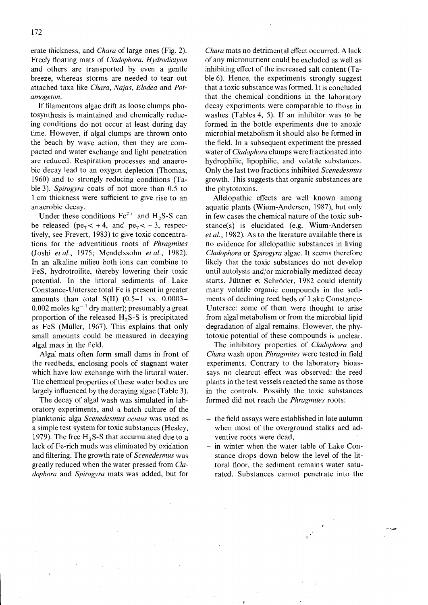erate thickness, and *Chara* of large ones (Fig. 2). Freely floating mats of *Cladophora, Hydrodictyon* and others are transported by even a gentle breeze, whereas storms are needed to tear out attached taxa like *Chara, Najas, Elodea* and *Potamogeton.*

If filamentous algae drift as loose clumps photosynthesis is maintained and chemically reducing conditions do not occur at least during day time. However, if algal clumps are thrown onto the beach by wave action, then they are compacted and water exchange and light penetration are reduced. Respiration processes and anaerobic decay lead to an oxygen depletion (Thomas, 1960) and to strongly redueing eonditions (Table 3). *Spirogyra* eoats of not more than 0.5 to 1 cm thickness were suffieient to give rise to an anaerobic deeay.

Under these conditions  $Fe<sup>2+</sup>$  and H<sub>2</sub>S-S can be released (pe<sub>7</sub>  $<$  +4, and pe<sub>7</sub>  $<$  -3, respectively, see Frevert, 1983) to give toxic concentrations for the adventitious roots of *Phragmites* (Joshi *et al.,* 1975; Mendelssohn *et al., 1982).* In an alkaline milieu both ions can combine to FeS, hydrotroilite, thereby lowering their toxie potential. In the littoral sediments of Lake Constance-Untersee total Fe is present in greater amounts than total  $S(II)$   $(0.5-1$  vs.  $0.0003 0.002$  moles kg<sup>-1</sup> dry matter); presumably a great proportion of the released  $H_2S-S$  is precipitated as FeS (Müller, 1967). This explains that only small amounts could be measured in decaying algal mats in the field.

Algal mats often form small dams in front of the reedbeds, enclosing pools of stagnant water which have low exchange with the littoral water. The chemical properties of these water bodies are largely influeneed by the decaying algae (Table 3).

The decay of algal wash was simulated in laboratory experiments, and a batch culture of the planktonic alga *Scenedesmus acutus* was used as a simple test system for toxie substances (Healey, 1979). The free  $H_2 S-S$  that accumulated due to a lack of Fe-rich muds was eliminated by oxidation and filtering. The growth rate of *Scenedesmus* was greatly reduced when the water pressed from *Cladophora* and *Spirogyra* mats was added, but for *Chara* mats no detrimental effeet occurred. A lack of any micronutrient eould be excluded as weIl as inhibiting effect of the increased salt content  $(Ta$ ble 6). Hence, the experiments strongly suggest that a toxic substance was formed. It is concluded that the chemical conditions in the laboratory deeay experiments were comparable to those in washes (Tables 4, 5). If an inhibitor was to be formed in the bottle experiments due to anoxie mierobial metabolism it should also be formed in the field. In a subsequent experiment the pressed water of*Cladophora* clumps were fractionated into hydrophilie, lipophilic, and volatile substanees. Only the last two fractions inhibited *Scenedesmus* growth. This suggests that organic substances are the phytotoxins.

Allelopathic effects are weIl known among aquatie plants (Wium-Andersen, 1987), but only in few cases the chemical nature of the toxic substanee(s) is elueidated (e.g. Wium-Andersen *et al.,* 1982). As to the literature available there is no evidenee for allelopathic substances in living *Cladophora* or *Spirogyra* algae. It seems therefore likely that the toxic substanees do not develop until autolysis and/or mierobially mediated decay starts. Jüttner et Schröder, 1982 could identify many volatile organic compounds in the sediments of declining reed beds of Lake Constance-Untersee: some of them were thought to arise from algal metabolism or from the microbial lipid degradation of algal remains. However, the phytotoxic potential of these eompounds is unclear.

The inhibitory properties of *Cladophora* and *Chara* wash upon *Phragmites* were tested in field experiments. Contrary to the laboratory bioassays no clearcut effect was observed: the reed plants in the test vessels reaeted the same as those in the eontrols. Possibly the toxie substances formed did not reach the *Phragmites* roots:

- the field assays were established in late autumn when most of the overground stalks and adventive roots were dead,
- in winter when the water table of Lake Constanee drops down below the level of the littoral floor, the sediment remains water saturated. Substanees eannot penetrate into the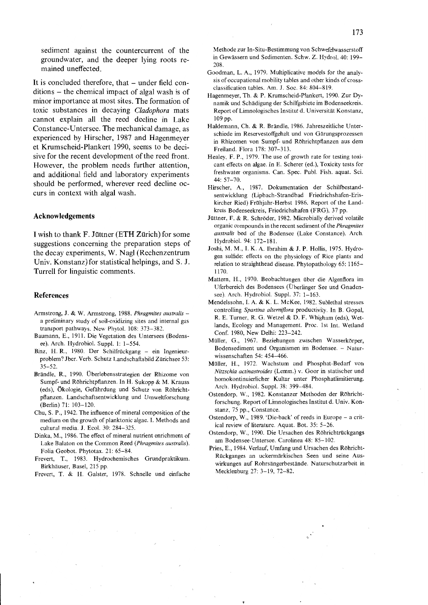sediment against the countercurrent of the groundwater, and the deeper lying roots remained uneffected.

It is concluded therefore, that – under field conditions - the chemical impact of algal wash is of minor importance at most sites. The formation of toxic substances in decaying *Cladophora* mats cannot explain all the reed decline in Lake Constance-Untersee. The mechanical damage, as experienced by Hirscher, 1987 and Hagenmeyer et Krumscheid-Plankert 1990, seems to be decisive for the recent development of the reed front. However, the problem needs further attention, and additional field and laboratory experiments should be performed, wherever reed decline occurs in context with algal wash.

#### **Acknowledgements**

I wish to thank F. Jüttner (ETH Zürich) for some suggestions concerning the preparation steps of the decay experiments, W. Nagl (Rechenzentrum Univ. Konstanz) for statistical helpings, and S. J. Turrell for linguistic comments.

#### **References**

- Armstrong, J. & W. Armstrong, 1988. *Phragmites australis*  a preliminary study of soil-oxidizing sites and internal gas transport pathways. New Phytol. 108: 373-382.
- Baumann, E., 1911. Die Vegetation des Untersees (Bodensee). Arch. Hydrobiol. Suppl. 1: 1-554.
- Binz, H. R., 1980. Der Schilfrückgang ein Ingenieurproblem? Jber. Verb. Schutz Landschaftsbild Zürichsee 53: 35-52.
- Brändle, R., 1990. Überlebensstrategien der Rhizome von Sumpf- und Röhrichtpflanzen. In H. Sukopp & M. Krauss (eds), Ökologie, Gefährdung und Schutz von Röhrichtpflanzen. Landschaftsentwicklung und Umweltforschung (Berlin) 71: 103-120.
- Chu, S. P., 1942. The influence of mineral composition of the medium on the growth of planktonic algae. I. Methods and cultural media. J. Eco!. 30: 284-325.
- Dinka, M., 1986. The effect of mineral nutrient enrichment of Lake Balaton on the Common Reed *(Phragmites australis).* Folia Geobot. Phytotax. 21: 65-84.
- Frevert, T., 1983. Hydrochemisches Grundpraktikum. Birkhäuser, Basel, 215 pp.
- Frevert, T. & H. Galster, 1978. Schnelle und einfache

Methode zur In-Situ-Bestimmung von Schwefelwasserstoff in Gewässern und Sedimenten. Schw. Z. Hydro!. 40: 199- 208.

- Goodman, L. A., 1979. Multiplicative models for the analysis of occupational mobility tables and other kinds of crossclassification tables. Am. J. Soc. 84: 804-819.
- Hagenmeyer, Th. & P. Krumscheid-Plankert. 1990. Zur Dynamik und Schädigung der Schilfgebiete im Bodenseekreis. Report of Limnologisches Institut d. Universität Konstanz, 109 pp.
- Haldemann, Ch. & R. Brändle, 1986. Jahreszeitliche Unterschiede im Reservestoffgehalt und von Gärungsprozessen in Rhizomen von Sumpf- und Röhrichtpflanzen aus dem Freiland. Flora 178: 307-313.
- Healey, F. P., 1979. The use of growth rate for testing toxicant effects on algae. In E. Scherer (ed.), Toxicity tests for freshwater organisms. Can. Spec. Pub!. Fish. aquat. Sei. 44: 57-70.
- Hirscher, A., 1987. Dokumentation der Schilfbestandsentwicklung (Lipbach-Strandbad Friedrichshafen-Eriskireher Ried) Frühjahr-Herbst 1986. Report of the Landkreis Bodenseekreis, Friedrichshafen (FRG), 37 pp.
- Jüttner, F. & R. Schröder, 1982. Microbially derived volatile organic compounds in the recent sediment of the *Phragmites australis* bed of the Bodensee (Lake Constance). Arch. Hydrobio!. 94: 172-181.
- Joshi, M. M., I. K. A. Ibrahim & J. P. Hollis, 1975. Hydrogen sulfide: effects on the physiology of Rice plants and relation to straighthead disease. Phytopathology 65: 1165- 1170.
- Mattern, H., 1970. Beobachtungen über die Algenflora im Uferbereich des Bodensees (Überlinger See und Gnadensee). Arch. Hydrobiol. Suppl. 37: 1-163.
- Mendelssohn, I. A. & K. L. McKee, 1982. SublethaI stresses controlling *Spartina alterniflora* productivity. In B. Gopal, R. E. Turner, R. G. Wetzel & D. F. Whigham (eds), Wetlands, Ecology and Management. Proc. Ist Int. Wetland Conf. 1980, New Delhi: 223-242.
- Müller, G., 1967. Beziehungen zwischen Wasserkörper, Bodensediment und Organismen im Bodensee. - Naturwissenschaften 54: 454-466.
- Müller, H., 1972. Wachstum und Phosphat-Bedarf von *Nitzschia actinastroides* (Lemm.) v. Goor in statischer und homokontinuierlicher Kultur unter Phosphatlimitierung. Arch. Hydrobio!. Supp!. 38: 399-484.
- Ostendorp. W., 1982. Konstanzer Methoden der Röhrichtforschung. Report of Limnologisches Institut d. Univ. Konstanz, 75 pp., Constance.
- Ostendorp, W., 1989. 'Die-back' of reeds in Europe a critical review of literature. Aquat. Bot. 35: 5-26.
- Ostendorp, W., 1990. Die Ursachen des Röhrichtrückgangs am Bodensee-Untersee. Carolinea 48: 85-102.
- Pries, E., 1984. Verlauf, Umfang und Ursachen des Röhricht-Rückganges an uckermärkischen Seen und seine Auswirkungen auf Rohrsängerbestände. Naturschutzarbeit in Mecklenburg 27: 3-19, 72-82.